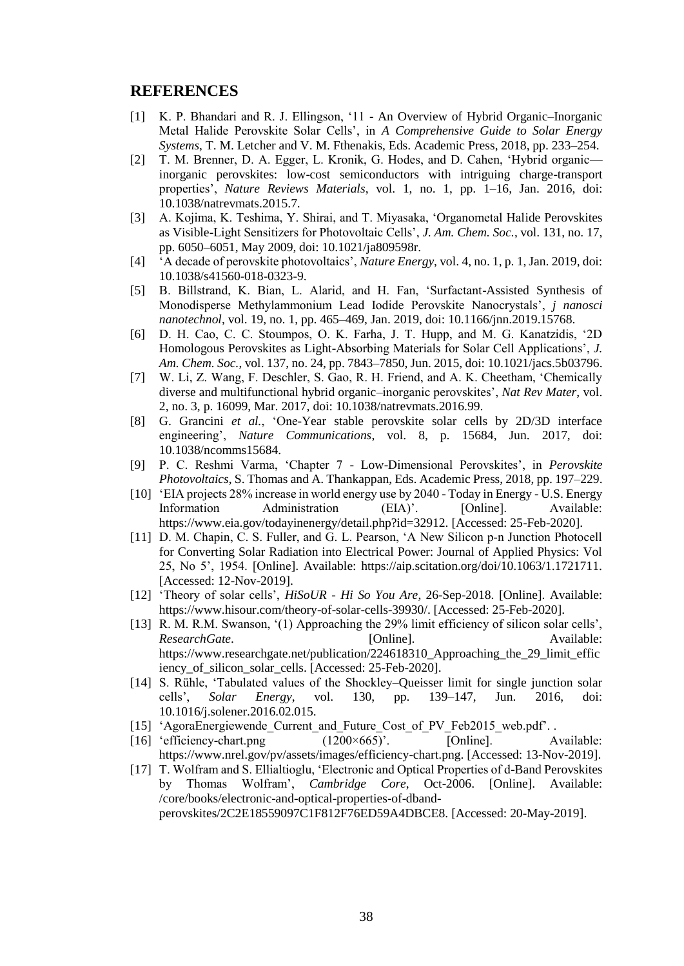## **REFERENCES**

- [1] K. P. Bhandari and R. J. Ellingson, '11 An Overview of Hybrid Organic–Inorganic Metal Halide Perovskite Solar Cells', in *A Comprehensive Guide to Solar Energy Systems*, T. M. Letcher and V. M. Fthenakis, Eds. Academic Press, 2018, pp. 233–254.
- [2] T. M. Brenner, D. A. Egger, L. Kronik, G. Hodes, and D. Cahen, 'Hybrid organic inorganic perovskites: low-cost semiconductors with intriguing charge-transport properties', *Nature Reviews Materials*, vol. 1, no. 1, pp. 1–16, Jan. 2016, doi: 10.1038/natrevmats.2015.7.
- [3] A. Kojima, K. Teshima, Y. Shirai, and T. Miyasaka, 'Organometal Halide Perovskites as Visible-Light Sensitizers for Photovoltaic Cells', *J. Am. Chem. Soc.*, vol. 131, no. 17, pp. 6050–6051, May 2009, doi: 10.1021/ja809598r.
- [4] 'A decade of perovskite photovoltaics', *Nature Energy*, vol. 4, no. 1, p. 1, Jan. 2019, doi: 10.1038/s41560-018-0323-9.
- [5] B. Billstrand, K. Bian, L. Alarid, and H. Fan, 'Surfactant-Assisted Synthesis of Monodisperse Methylammonium Lead Iodide Perovskite Nanocrystals', *j nanosci nanotechnol*, vol. 19, no. 1, pp. 465–469, Jan. 2019, doi: 10.1166/jnn.2019.15768.
- [6] D. H. Cao, C. C. Stoumpos, O. K. Farha, J. T. Hupp, and M. G. Kanatzidis, '2D Homologous Perovskites as Light-Absorbing Materials for Solar Cell Applications', *J. Am. Chem. Soc.*, vol. 137, no. 24, pp. 7843–7850, Jun. 2015, doi: 10.1021/jacs.5b03796.
- [7] W. Li, Z. Wang, F. Deschler, S. Gao, R. H. Friend, and A. K. Cheetham, 'Chemically diverse and multifunctional hybrid organic–inorganic perovskites', *Nat Rev Mater*, vol. 2, no. 3, p. 16099, Mar. 2017, doi: 10.1038/natrevmats.2016.99.
- [8] G. Grancini *et al.*, 'One-Year stable perovskite solar cells by 2D/3D interface engineering', *Nature Communications*, vol. 8, p. 15684, Jun. 2017, doi: 10.1038/ncomms15684.
- [9] P. C. Reshmi Varma, 'Chapter 7 Low-Dimensional Perovskites', in *Perovskite Photovoltaics*, S. Thomas and A. Thankappan, Eds. Academic Press, 2018, pp. 197–229.
- [10] 'EIA projects 28% increase in world energy use by 2040 Today in Energy U.S. Energy Information Administration (EIA)'. [Online]. Available: https://www.eia.gov/todayinenergy/detail.php?id=32912. [Accessed: 25-Feb-2020].
- [11] D. M. Chapin, C. S. Fuller, and G. L. Pearson, 'A New Silicon p-n Junction Photocell for Converting Solar Radiation into Electrical Power: Journal of Applied Physics: Vol 25, No 5', 1954. [Online]. Available: https://aip.scitation.org/doi/10.1063/1.1721711. [Accessed: 12-Nov-2019].
- [12] 'Theory of solar cells', *HiSoUR - Hi So You Are*, 26-Sep-2018. [Online]. Available: https://www.hisour.com/theory-of-solar-cells-39930/. [Accessed: 25-Feb-2020].
- [13] R. M. R.M. Swanson, '(1) Approaching the 29% limit efficiency of silicon solar cells', *ResearchGate.* [Online]. Available: https://www.researchgate.net/publication/224618310 Approaching the 29 limit effic iency of silicon solar cells. [Accessed: 25-Feb-2020].
- [14] S. Rühle, 'Tabulated values of the Shockley–Queisser limit for single junction solar cells', *Solar Energy*, vol. 130, pp. 139–147, Jun. 2016, doi: 10.1016/j.solener.2016.02.015.
- [15] 'AgoraEnergiewende Current and Future Cost of PV Feb2015 web.pdf'..
- [16] 'efficiency-chart.png (1200×665)'. [Online]. Available: https://www.nrel.gov/pv/assets/images/efficiency-chart.png. [Accessed: 13-Nov-2019].
- [17] T. Wolfram and S. Ellialtioglu, 'Electronic and Optical Properties of d-Band Perovskites by Thomas Wolfram', *Cambridge Core*, Oct-2006. [Online]. Available: /core/books/electronic-and-optical-properties-of-dbandperovskites/2C2E18559097C1F812F76ED59A4DBCE8. [Accessed: 20-May-2019].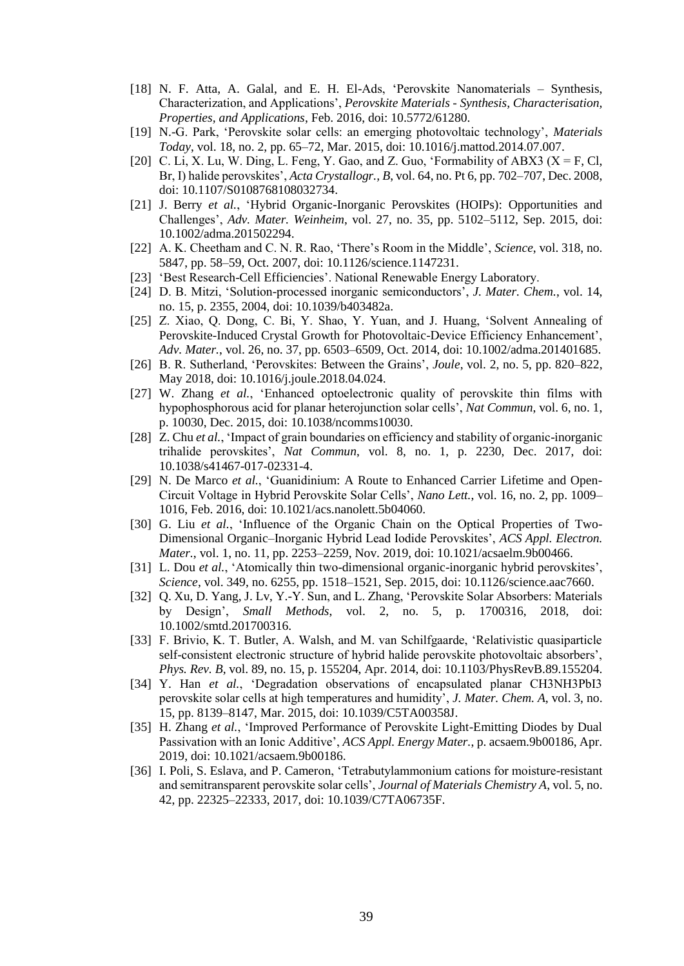- [18] N. F. Atta, A. Galal, and E. H. El-Ads, 'Perovskite Nanomaterials Synthesis, Characterization, and Applications', *Perovskite Materials - Synthesis, Characterisation, Properties, and Applications*, Feb. 2016, doi: 10.5772/61280.
- [19] N.-G. Park, 'Perovskite solar cells: an emerging photovoltaic technology', *Materials Today*, vol. 18, no. 2, pp. 65–72, Mar. 2015, doi: 10.1016/j.mattod.2014.07.007.
- [20] C. Li, X. Lu, W. Ding, L. Feng, Y. Gao, and Z. Guo, 'Formability of ABX3 (X = F, Cl, Br, I) halide perovskites', *Acta Crystallogr., B*, vol. 64, no. Pt 6, pp. 702–707, Dec. 2008, doi: 10.1107/S0108768108032734.
- [21] J. Berry *et al.*, 'Hybrid Organic-Inorganic Perovskites (HOIPs): Opportunities and Challenges', *Adv. Mater. Weinheim*, vol. 27, no. 35, pp. 5102–5112, Sep. 2015, doi: 10.1002/adma.201502294.
- [22] A. K. Cheetham and C. N. R. Rao, 'There's Room in the Middle', *Science*, vol. 318, no. 5847, pp. 58–59, Oct. 2007, doi: 10.1126/science.1147231.
- [23] 'Best Research-Cell Efficiencies'. National Renewable Energy Laboratory.
- [24] D. B. Mitzi, 'Solution-processed inorganic semiconductors', *J. Mater. Chem.*, vol. 14, no. 15, p. 2355, 2004, doi: 10.1039/b403482a.
- [25] Z. Xiao, Q. Dong, C. Bi, Y. Shao, Y. Yuan, and J. Huang, 'Solvent Annealing of Perovskite-Induced Crystal Growth for Photovoltaic-Device Efficiency Enhancement', *Adv. Mater.*, vol. 26, no. 37, pp. 6503–6509, Oct. 2014, doi: 10.1002/adma.201401685.
- [26] B. R. Sutherland, 'Perovskites: Between the Grains', *Joule*, vol. 2, no. 5, pp. 820–822, May 2018, doi: 10.1016/j.joule.2018.04.024.
- [27] W. Zhang *et al.*, 'Enhanced optoelectronic quality of perovskite thin films with hypophosphorous acid for planar heterojunction solar cells', *Nat Commun*, vol. 6, no. 1, p. 10030, Dec. 2015, doi: 10.1038/ncomms10030.
- [28] Z. Chu *et al.*, 'Impact of grain boundaries on efficiency and stability of organic-inorganic trihalide perovskites', *Nat Commun*, vol. 8, no. 1, p. 2230, Dec. 2017, doi: 10.1038/s41467-017-02331-4.
- [29] N. De Marco *et al.*, 'Guanidinium: A Route to Enhanced Carrier Lifetime and Open-Circuit Voltage in Hybrid Perovskite Solar Cells', *Nano Lett.*, vol. 16, no. 2, pp. 1009– 1016, Feb. 2016, doi: 10.1021/acs.nanolett.5b04060.
- [30] G. Liu *et al.*, 'Influence of the Organic Chain on the Optical Properties of Two-Dimensional Organic–Inorganic Hybrid Lead Iodide Perovskites', *ACS Appl. Electron. Mater.*, vol. 1, no. 11, pp. 2253–2259, Nov. 2019, doi: 10.1021/acsaelm.9b00466.
- [31] L. Dou *et al.*, 'Atomically thin two-dimensional organic-inorganic hybrid perovskites', *Science*, vol. 349, no. 6255, pp. 1518–1521, Sep. 2015, doi: 10.1126/science.aac7660.
- [32] Q. Xu, D. Yang, J. Lv, Y.-Y. Sun, and L. Zhang, 'Perovskite Solar Absorbers: Materials by Design', *Small Methods*, vol. 2, no. 5, p. 1700316, 2018, doi: 10.1002/smtd.201700316.
- [33] F. Brivio, K. T. Butler, A. Walsh, and M. van Schilfgaarde, 'Relativistic quasiparticle self-consistent electronic structure of hybrid halide perovskite photovoltaic absorbers', *Phys. Rev. B*, vol. 89, no. 15, p. 155204, Apr. 2014, doi: 10.1103/PhysRevB.89.155204.
- [34] Y. Han *et al.*, 'Degradation observations of encapsulated planar CH3NH3PbI3 perovskite solar cells at high temperatures and humidity', *J. Mater. Chem. A*, vol. 3, no. 15, pp. 8139–8147, Mar. 2015, doi: 10.1039/C5TA00358J.
- [35] H. Zhang *et al.*, 'Improved Performance of Perovskite Light-Emitting Diodes by Dual Passivation with an Ionic Additive', *ACS Appl. Energy Mater.*, p. acsaem.9b00186, Apr. 2019, doi: 10.1021/acsaem.9b00186.
- [36] I. Poli, S. Eslava, and P. Cameron, 'Tetrabutylammonium cations for moisture-resistant and semitransparent perovskite solar cells', *Journal of Materials Chemistry A*, vol. 5, no. 42, pp. 22325–22333, 2017, doi: 10.1039/C7TA06735F.